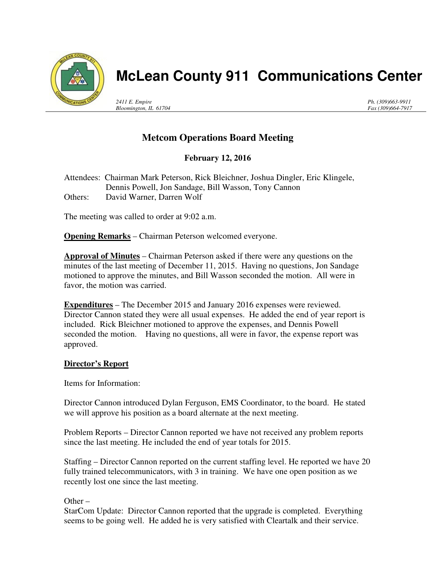

# **McLean County 911 Communications Center**

*2411 E. Empire Bloomington, IL 61704* *Ph. (309)663-9911 Fax (309)664-7917*

## **Metcom Operations Board Meeting**

## **February 12, 2016**

Attendees: Chairman Mark Peterson, Rick Bleichner, Joshua Dingler, Eric Klingele, Dennis Powell, Jon Sandage, Bill Wasson, Tony Cannon Others: David Warner, Darren Wolf

The meeting was called to order at 9:02 a.m.

**Opening Remarks** – Chairman Peterson welcomed everyone.

**Approval of Minutes** – Chairman Peterson asked if there were any questions on the minutes of the last meeting of December 11, 2015. Having no questions, Jon Sandage motioned to approve the minutes, and Bill Wasson seconded the motion. All were in favor, the motion was carried.

**Expenditures** – The December 2015 and January 2016 expenses were reviewed. Director Cannon stated they were all usual expenses. He added the end of year report is included. Rick Bleichner motioned to approve the expenses, and Dennis Powell seconded the motion. Having no questions, all were in favor, the expense report was approved.

#### **Director's Report**

Items for Information:

Director Cannon introduced Dylan Ferguson, EMS Coordinator, to the board. He stated we will approve his position as a board alternate at the next meeting.

Problem Reports – Director Cannon reported we have not received any problem reports since the last meeting. He included the end of year totals for 2015.

Staffing – Director Cannon reported on the current staffing level. He reported we have 20 fully trained telecommunicators, with 3 in training. We have one open position as we recently lost one since the last meeting.

Other –

StarCom Update: Director Cannon reported that the upgrade is completed. Everything seems to be going well. He added he is very satisfied with Cleartalk and their service.